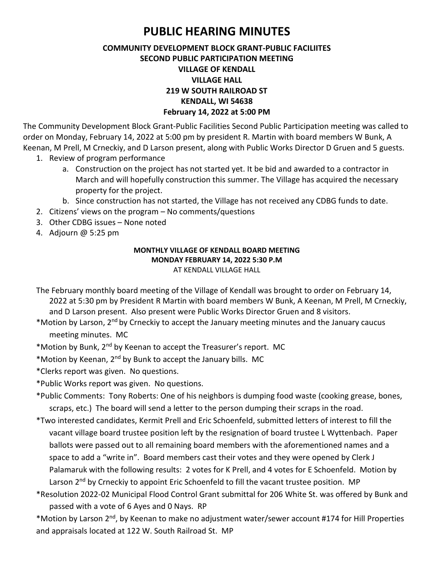## **PUBLIC HEARING MINUTES**

## **COMMUNITY DEVELOPMENT BLOCK GRANT-PUBLIC FACILIITES SECOND PUBLIC PARTICIPATION MEETING VILLAGE OF KENDALL VILLAGE HALL 219 W SOUTH RAILROAD ST KENDALL, WI 54638 February 14, 2022 at 5:00 PM**

The Community Development Block Grant-Public Facilities Second Public Participation meeting was called to order on Monday, February 14, 2022 at 5:00 pm by president R. Martin with board members W Bunk, A Keenan, M Prell, M Crneckiy, and D Larson present, along with Public Works Director D Gruen and 5 guests.

- 1. Review of program performance
	- a. Construction on the project has not started yet. It be bid and awarded to a contractor in March and will hopefully construction this summer. The Village has acquired the necessary property for the project.
	- b. Since construction has not started, the Village has not received any CDBG funds to date.
- 2. Citizens' views on the program No comments/questions
- 3. Other CDBG issues None noted
- 4. Adjourn @ 5:25 pm

## **MONTHLY VILLAGE OF KENDALL BOARD MEETING MONDAY FEBRUARY 14, 2022 5:30 P.M** AT KENDALL VILLAGE HALL

- The February monthly board meeting of the Village of Kendall was brought to order on February 14, 2022 at 5:30 pm by President R Martin with board members W Bunk, A Keenan, M Prell, M Crneckiy, and D Larson present. Also present were Public Works Director Gruen and 8 visitors.
- \*Motion by Larson, 2nd by Crneckiy to accept the January meeting minutes and the January caucus meeting minutes. MC
- \*Motion by Bunk, 2nd by Keenan to accept the Treasurer's report. MC
- \*Motion by Keenan, 2nd by Bunk to accept the January bills. MC
- \*Clerks report was given. No questions.
- \*Public Works report was given. No questions.
- \*Public Comments: Tony Roberts: One of his neighbors is dumping food waste (cooking grease, bones, scraps, etc.) The board will send a letter to the person dumping their scraps in the road.
- \*Two interested candidates, Kermit Prell and Eric Schoenfeld, submitted letters of interest to fill the vacant village board trustee position left by the resignation of board trustee L Wyttenbach. Paper ballots were passed out to all remaining board members with the aforementioned names and a space to add a "write in". Board members cast their votes and they were opened by Clerk J Palamaruk with the following results: 2 votes for K Prell, and 4 votes for E Schoenfeld. Motion by Larson 2<sup>nd</sup> by Crneckiy to appoint Eric Schoenfeld to fill the vacant trustee position. MP
- \*Resolution 2022-02 Municipal Flood Control Grant submittal for 206 White St. was offered by Bunk and passed with a vote of 6 Ayes and 0 Nays. RP

\*Motion by Larson 2nd, by Keenan to make no adjustment water/sewer account #174 for Hill Properties and appraisals located at 122 W. South Railroad St. MP